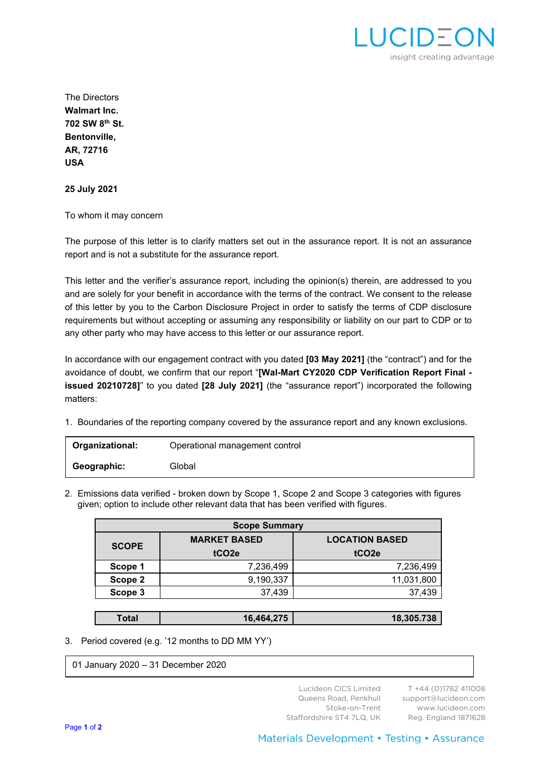

The Directors **Walmart Inc. 702 SW 8th St. Bentonville, AR, 72716 USA**

**25 July 2021**

To whom it may concern

The purpose of this letter is to clarify matters set out in the assurance report. It is not an assurance report and is not a substitute for the assurance report.

This letter and the verifier's assurance report, including the opinion(s) therein, are addressed to you and are solely for your benefit in accordance with the terms of the contract. We consent to the release of this letter by you to the Carbon Disclosure Project in order to satisfy the terms of CDP disclosure requirements but without accepting or assuming any responsibility or liability on our part to CDP or to any other party who may have access to this letter or our assurance report.

In accordance with our engagement contract with you dated **[03 May 2021]** (the "contract") and for the avoidance of doubt, we confirm that our report "**[Wal-Mart CY2020 CDP Verification Report Final issued 20210728]**" to you dated **[28 July 2021]** (the "assurance report") incorporated the following matters:

1. Boundaries of the reporting company covered by the assurance report and any known exclusions.

| <b>Organizational:</b> | Operational management control |
|------------------------|--------------------------------|
| Geographic:            | Global                         |

2. Emissions data verified - broken down by Scope 1, Scope 2 and Scope 3 categories with figures given; option to include other relevant data that has been verified with figures.

| <b>Scope Summary</b> |                     |                       |
|----------------------|---------------------|-----------------------|
| <b>SCOPE</b>         | <b>MARKET BASED</b> | <b>LOCATION BASED</b> |
|                      | tCO <sub>2e</sub>   | tCO <sub>2e</sub>     |
| Scope 1              | 7,236,499           | 7,236,499             |
| Scope 2              | 9,190,337           | 11,031,800            |
| Scope 3              | 37,439              | 37,439                |

| 16,464,275<br>™otal | 18,305.738 |
|---------------------|------------|
|---------------------|------------|

3. Period covered (e.g. '12 months to DD MM YY')

01 January 2020 – 31 December 2020

Lucideon CICS Limited Queens Road, Penkhull Stoke-on-Trent Staffordshire ST4 7LQ, UK

T +44 (0)1782 411008 support@lucideon.com www.lucideon.com Reg. England 1871628